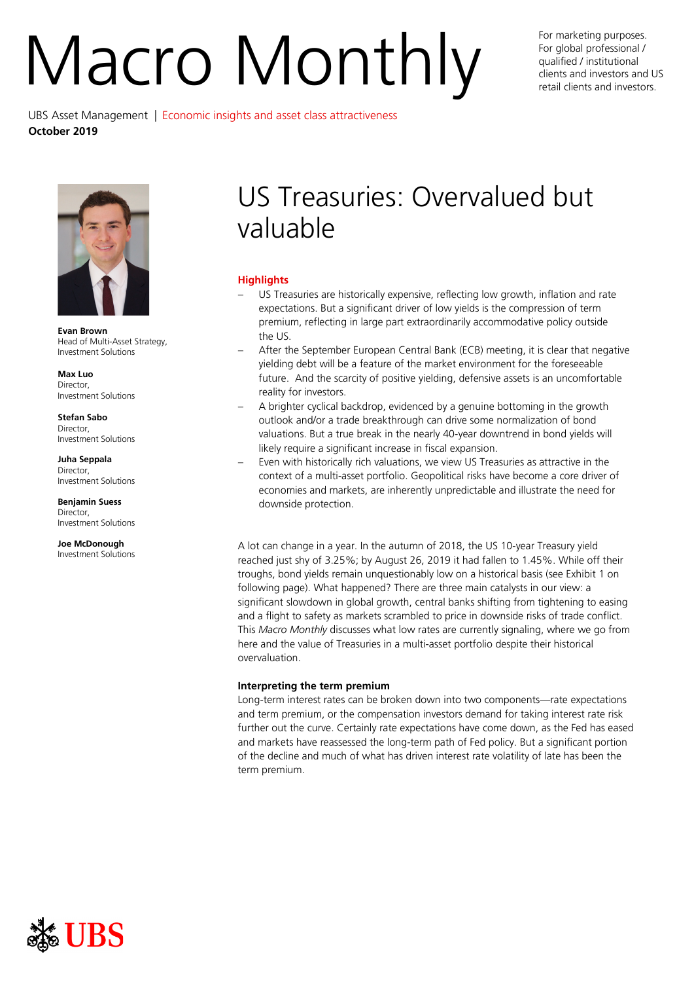# Nacro Monthly For marketing purposes.

For global professional / qualified / institutional clients and investors and US retail clients and investors.

UBS Asset Management | Economic insights and asset class attractiveness **October 2019**



**Evan Brown** Head of Multi-Asset Strategy, Investment Solutions

**Max Luo** Director, Investment Solutions

**Stefan Sabo** Director, Investment Solutions

**Juha Seppala Director** Investment Solutions

**Benjamin Suess** Director, Investment Solutions

**Joe McDonough** Investment Solutions

# US Treasuries: Overvalued but valuable

# **Highlights**

- US Treasuries are historically expensive, reflecting low growth, inflation and rate expectations. But a significant driver of low yields is the compression of term premium, reflecting in large part extraordinarily accommodative policy outside the US.
- After the September European Central Bank (ECB) meeting, it is clear that negative yielding debt will be a feature of the market environment for the foreseeable future. And the scarcity of positive yielding, defensive assets is an uncomfortable reality for investors.
- − A brighter cyclical backdrop, evidenced by a genuine bottoming in the growth outlook and/or a trade breakthrough can drive some normalization of bond valuations. But a true break in the nearly 40-year downtrend in bond yields will likely require a significant increase in fiscal expansion.
- Even with historically rich valuations, we view US Treasuries as attractive in the context of a multi-asset portfolio. Geopolitical risks have become a core driver of economies and markets, are inherently unpredictable and illustrate the need for downside protection.

A lot can change in a year. In the autumn of 2018, the US 10-year Treasury yield reached just shy of 3.25%; by August 26, 2019 it had fallen to 1.45%. While off their troughs, bond yields remain unquestionably low on a historical basis (see Exhibit 1 on following page). What happened? There are three main catalysts in our view: a significant slowdown in global growth, central banks shifting from tightening to easing and a flight to safety as markets scrambled to price in downside risks of trade conflict. This *Macro Monthly* discusses what low rates are currently signaling, where we go from here and the value of Treasuries in a multi-asset portfolio despite their historical overvaluation.

# **Interpreting the term premium**

Long-term interest rates can be broken down into two components—rate expectations and term premium, or the compensation investors demand for taking interest rate risk further out the curve. Certainly rate expectations have come down, as the Fed has eased and markets have reassessed the long-term path of Fed policy. But a significant portion of the decline and much of what has driven interest rate volatility of late has been the term premium.

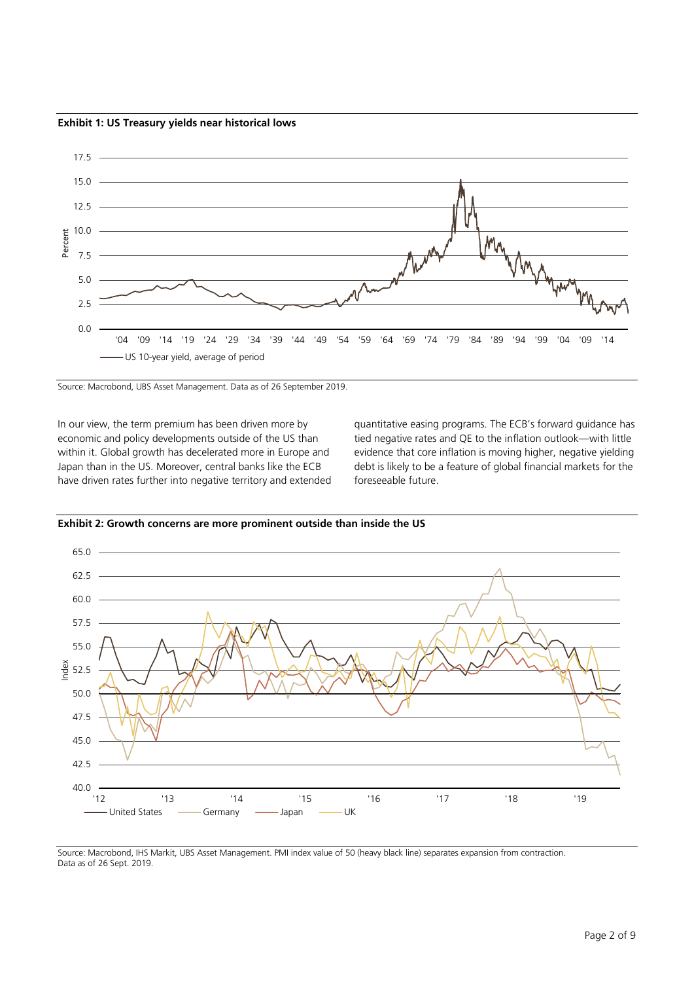**Exhibit 1: US Treasury yields near historical lows**



Source: Macrobond, UBS Asset Management. Data as of 26 September 2019.

In our view, the term premium has been driven more by economic and policy developments outside of the US than within it. Global growth has decelerated more in Europe and Japan than in the US. Moreover, central banks like the ECB have driven rates further into negative territory and extended quantitative easing programs. The ECB's forward guidance has tied negative rates and QE to the inflation outlook—with little evidence that core inflation is moving higher, negative yielding debt is likely to be a feature of global financial markets for the foreseeable future.



**Exhibit 2: Growth concerns are more prominent outside than inside the US**

Source: Macrobond, IHS Markit, UBS Asset Management. PMI index value of 50 (heavy black line) separates expansion from contraction. Data as of 26 Sept. 2019.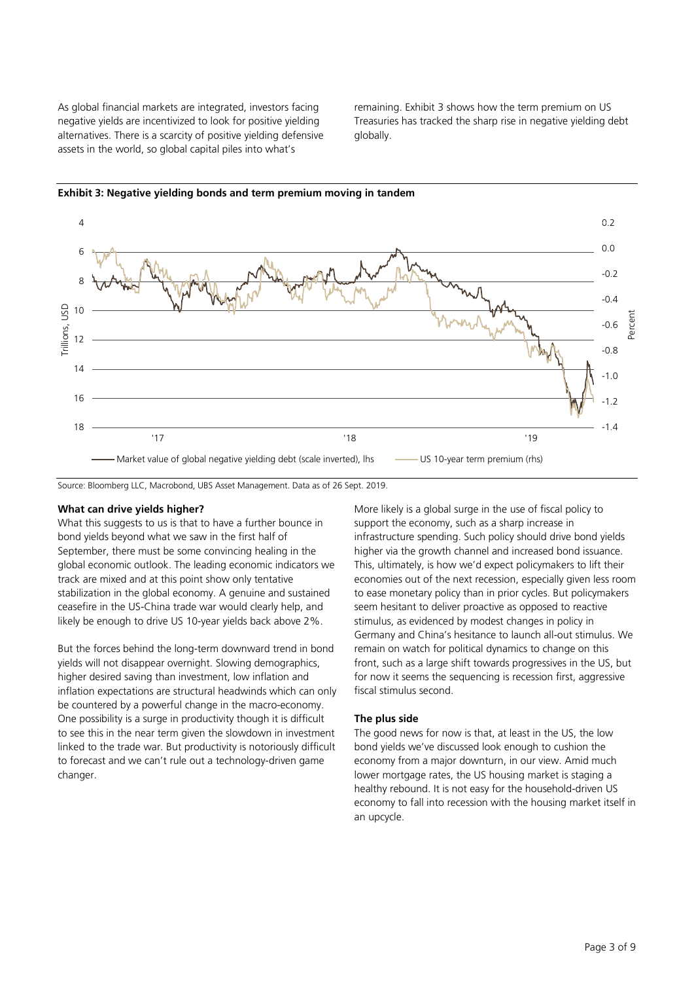As global financial markets are integrated, investors facing negative yields are incentivized to look for positive yielding alternatives. There is a scarcity of positive yielding defensive assets in the world, so global capital piles into what's

remaining. Exhibit 3 shows how the term premium on US Treasuries has tracked the sharp rise in negative yielding debt globally.



**Exhibit 3: Negative yielding bonds and term premium moving in tandem**

Source: Bloomberg LLC, Macrobond, UBS Asset Management. Data as of 26 Sept. 2019.

## **What can drive yields higher?**

What this suggests to us is that to have a further bounce in bond yields beyond what we saw in the first half of September, there must be some convincing healing in the global economic outlook. The leading economic indicators we track are mixed and at this point show only tentative stabilization in the global economy. A genuine and sustained ceasefire in the US-China trade war would clearly help, and likely be enough to drive US 10-year yields back above 2%.

But the forces behind the long-term downward trend in bond yields will not disappear overnight. Slowing demographics, higher desired saving than investment, low inflation and inflation expectations are structural headwinds which can only be countered by a powerful change in the macro-economy. One possibility is a surge in productivity though it is difficult to see this in the near term given the slowdown in investment linked to the trade war. But productivity is notoriously difficult to forecast and we can't rule out a technology-driven game changer.

More likely is a global surge in the use of fiscal policy to support the economy, such as a sharp increase in infrastructure spending. Such policy should drive bond yields higher via the growth channel and increased bond issuance. This, ultimately, is how we'd expect policymakers to lift their economies out of the next recession, especially given less room to ease monetary policy than in prior cycles. But policymakers seem hesitant to deliver proactive as opposed to reactive stimulus, as evidenced by modest changes in policy in Germany and China's hesitance to launch all-out stimulus. We remain on watch for political dynamics to change on this front, such as a large shift towards progressives in the US, but for now it seems the sequencing is recession first, aggressive fiscal stimulus second.

### **The plus side**

The good news for now is that, at least in the US, the low bond yields we've discussed look enough to cushion the economy from a major downturn, in our view. Amid much lower mortgage rates, the US housing market is staging a healthy rebound. It is not easy for the household-driven US economy to fall into recession with the housing market itself in an upcycle.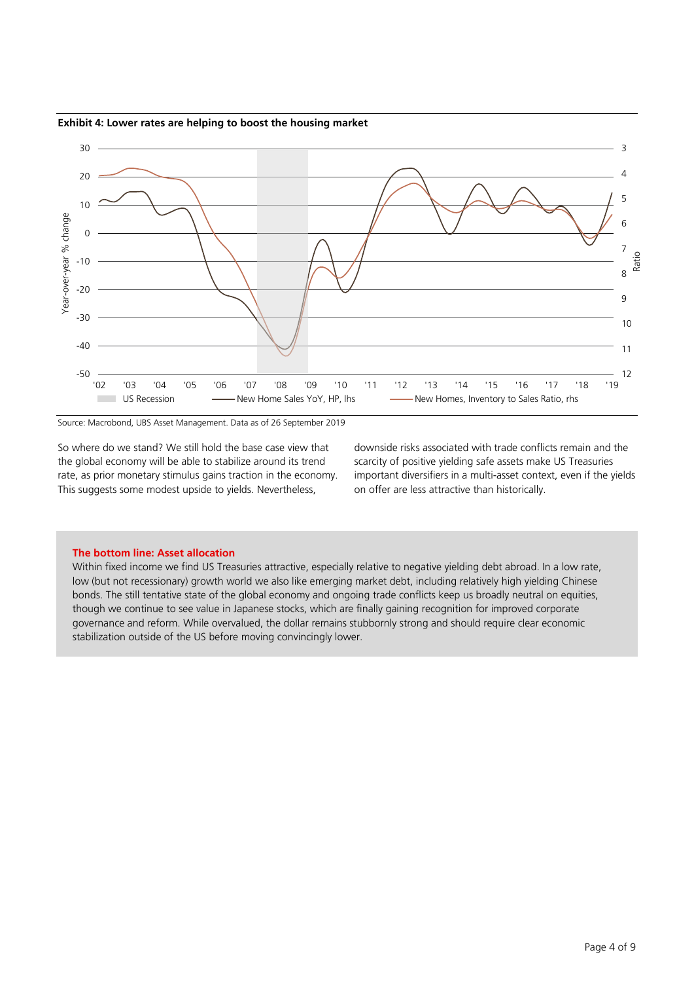**Exhibit 4: Lower rates are helping to boost the housing market**



Source: Macrobond, UBS Asset Management. Data as of 26 September 2019

So where do we stand? We still hold the base case view that the global economy will be able to stabilize around its trend rate, as prior monetary stimulus gains traction in the economy. This suggests some modest upside to yields. Nevertheless,

downside risks associated with trade conflicts remain and the scarcity of positive yielding safe assets make US Treasuries important diversifiers in a multi-asset context, even if the yields on offer are less attractive than historically.

#### **The bottom line: Asset allocation**

Within fixed income we find US Treasuries attractive, especially relative to negative yielding debt abroad. In a low rate, low (but not recessionary) growth world we also like emerging market debt, including relatively high yielding Chinese bonds. The still tentative state of the global economy and ongoing trade conflicts keep us broadly neutral on equities, though we continue to see value in Japanese stocks, which are finally gaining recognition for improved corporate governance and reform. While overvalued, the dollar remains stubbornly strong and should require clear economic stabilization outside of the US before moving convincingly lower.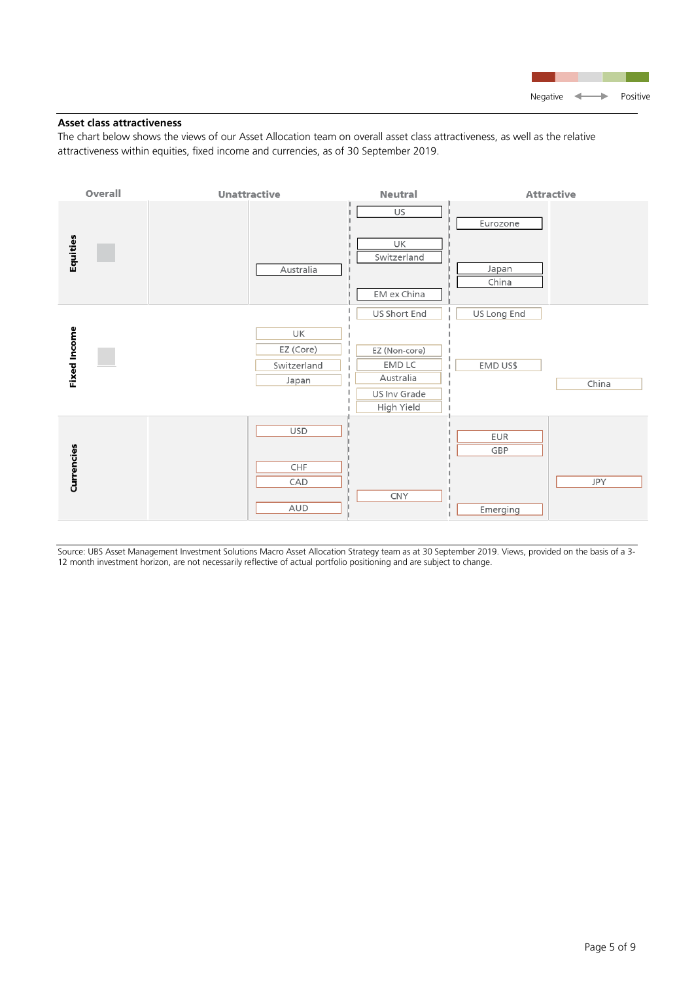

# **Asset class attractiveness**

The chart below shows the views of our Asset Allocation team on overall asset class attractiveness, as well as the relative attractiveness within equities, fixed income and currencies, as of 30 September 2019.



Source: UBS Asset Management Investment Solutions Macro Asset Allocation Strategy team as at 30 September 2019. Views, provided on the basis of a 3- 12 month investment horizon, are not necessarily reflective of actual portfolio positioning and are subject to change.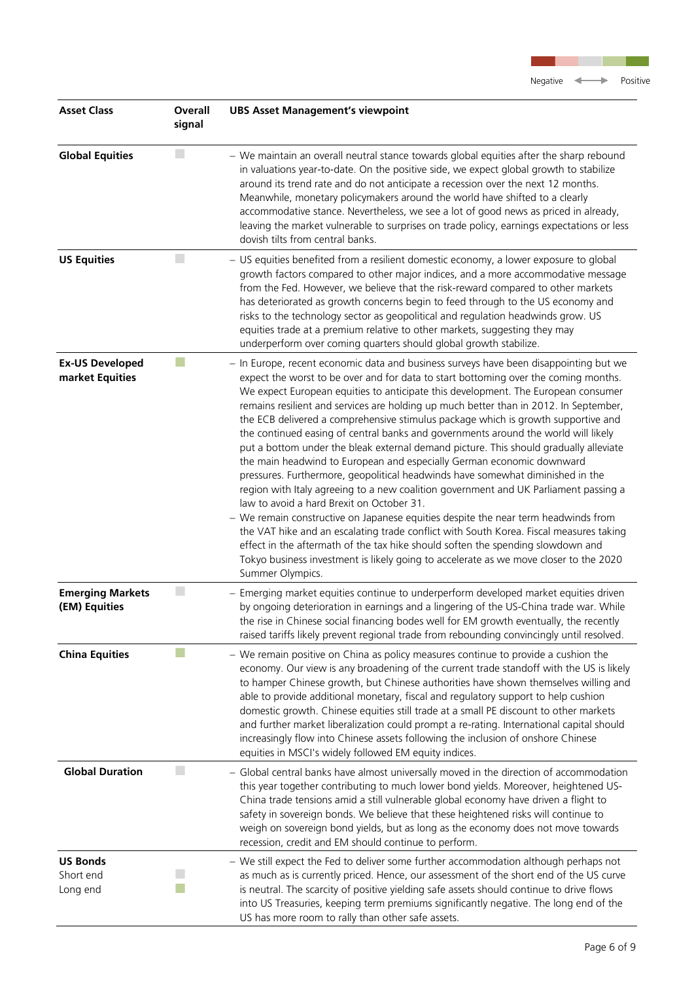

<u> Tan</u>

| <b>Asset Class</b>                        | <b>Overall</b><br>signal | <b>UBS Asset Management's viewpoint</b>                                                                                                                                                                                                                                                                                                                                                                                                                                                                                                                                                                                                                                                                                                                                                                                                                                                                                                                                                                                                                                                                                                                                                                                                                                                                        |
|-------------------------------------------|--------------------------|----------------------------------------------------------------------------------------------------------------------------------------------------------------------------------------------------------------------------------------------------------------------------------------------------------------------------------------------------------------------------------------------------------------------------------------------------------------------------------------------------------------------------------------------------------------------------------------------------------------------------------------------------------------------------------------------------------------------------------------------------------------------------------------------------------------------------------------------------------------------------------------------------------------------------------------------------------------------------------------------------------------------------------------------------------------------------------------------------------------------------------------------------------------------------------------------------------------------------------------------------------------------------------------------------------------|
| <b>Global Equities</b>                    |                          | - We maintain an overall neutral stance towards global equities after the sharp rebound<br>in valuations year-to-date. On the positive side, we expect global growth to stabilize<br>around its trend rate and do not anticipate a recession over the next 12 months.<br>Meanwhile, monetary policymakers around the world have shifted to a clearly<br>accommodative stance. Nevertheless, we see a lot of good news as priced in already,<br>leaving the market vulnerable to surprises on trade policy, earnings expectations or less<br>dovish tilts from central banks.                                                                                                                                                                                                                                                                                                                                                                                                                                                                                                                                                                                                                                                                                                                                   |
| <b>US Equities</b>                        | H.                       | - US equities benefited from a resilient domestic economy, a lower exposure to global<br>growth factors compared to other major indices, and a more accommodative message<br>from the Fed. However, we believe that the risk-reward compared to other markets<br>has deteriorated as growth concerns begin to feed through to the US economy and<br>risks to the technology sector as geopolitical and regulation headwinds grow. US<br>equities trade at a premium relative to other markets, suggesting they may<br>underperform over coming quarters should global growth stabilize.                                                                                                                                                                                                                                                                                                                                                                                                                                                                                                                                                                                                                                                                                                                        |
| <b>Ex-US Developed</b><br>market Equities |                          | - In Europe, recent economic data and business surveys have been disappointing but we<br>expect the worst to be over and for data to start bottoming over the coming months.<br>We expect European equities to anticipate this development. The European consumer<br>remains resilient and services are holding up much better than in 2012. In September,<br>the ECB delivered a comprehensive stimulus package which is growth supportive and<br>the continued easing of central banks and governments around the world will likely<br>put a bottom under the bleak external demand picture. This should gradually alleviate<br>the main headwind to European and especially German economic downward<br>pressures. Furthermore, geopolitical headwinds have somewhat diminished in the<br>region with Italy agreeing to a new coalition government and UK Parliament passing a<br>law to avoid a hard Brexit on October 31.<br>- We remain constructive on Japanese equities despite the near term headwinds from<br>the VAT hike and an escalating trade conflict with South Korea. Fiscal measures taking<br>effect in the aftermath of the tax hike should soften the spending slowdown and<br>Tokyo business investment is likely going to accelerate as we move closer to the 2020<br>Summer Olympics. |
| <b>Emerging Markets</b><br>(EM) Equities  |                          | - Emerging market equities continue to underperform developed market equities driven<br>by ongoing deterioration in earnings and a lingering of the US-China trade war. While<br>the rise in Chinese social financing bodes well for EM growth eventually, the recently<br>raised tariffs likely prevent regional trade from rebounding convincingly until resolved.                                                                                                                                                                                                                                                                                                                                                                                                                                                                                                                                                                                                                                                                                                                                                                                                                                                                                                                                           |
| <b>China Equities</b>                     |                          | - We remain positive on China as policy measures continue to provide a cushion the<br>economy. Our view is any broadening of the current trade standoff with the US is likely<br>to hamper Chinese growth, but Chinese authorities have shown themselves willing and<br>able to provide additional monetary, fiscal and regulatory support to help cushion<br>domestic growth. Chinese equities still trade at a small PE discount to other markets<br>and further market liberalization could prompt a re-rating. International capital should<br>increasingly flow into Chinese assets following the inclusion of onshore Chinese<br>equities in MSCI's widely followed EM equity indices.                                                                                                                                                                                                                                                                                                                                                                                                                                                                                                                                                                                                                   |
| <b>Global Duration</b>                    | ×                        | - Global central banks have almost universally moved in the direction of accommodation<br>this year together contributing to much lower bond yields. Moreover, heightened US-<br>China trade tensions amid a still vulnerable global economy have driven a flight to<br>safety in sovereign bonds. We believe that these heightened risks will continue to<br>weigh on sovereign bond yields, but as long as the economy does not move towards<br>recession, credit and EM should continue to perform.                                                                                                                                                                                                                                                                                                                                                                                                                                                                                                                                                                                                                                                                                                                                                                                                         |
| <b>US Bonds</b><br>Short end<br>Long end  |                          | - We still expect the Fed to deliver some further accommodation although perhaps not<br>as much as is currently priced. Hence, our assessment of the short end of the US curve<br>is neutral. The scarcity of positive yielding safe assets should continue to drive flows<br>into US Treasuries, keeping term premiums significantly negative. The long end of the<br>US has more room to rally than other safe assets.                                                                                                                                                                                                                                                                                                                                                                                                                                                                                                                                                                                                                                                                                                                                                                                                                                                                                       |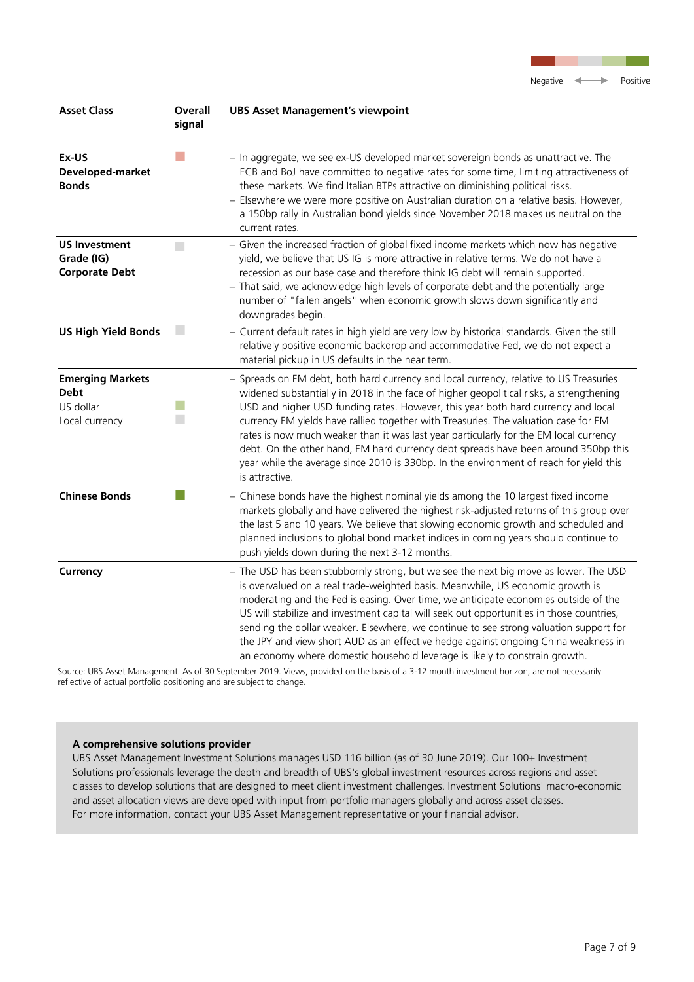

| <b>Asset Class</b>                                                    | Overall<br>signal           | <b>UBS Asset Management's viewpoint</b>                                                                                                                                                                                                                                                                                                                                                                                                                                                                                                                                                                                                                  |
|-----------------------------------------------------------------------|-----------------------------|----------------------------------------------------------------------------------------------------------------------------------------------------------------------------------------------------------------------------------------------------------------------------------------------------------------------------------------------------------------------------------------------------------------------------------------------------------------------------------------------------------------------------------------------------------------------------------------------------------------------------------------------------------|
| Ex-US<br>Developed-market<br><b>Bonds</b>                             | T.                          | - In aggregate, we see ex-US developed market sovereign bonds as unattractive. The<br>ECB and BoJ have committed to negative rates for some time, limiting attractiveness of<br>these markets. We find Italian BTPs attractive on diminishing political risks.<br>- Elsewhere we were more positive on Australian duration on a relative basis. However,<br>a 150bp rally in Australian bond yields since November 2018 makes us neutral on the<br>current rates.                                                                                                                                                                                        |
| <b>US Investment</b><br>Grade (IG)<br><b>Corporate Debt</b>           | $\mathcal{L}_{\mathcal{A}}$ | - Given the increased fraction of global fixed income markets which now has negative<br>yield, we believe that US IG is more attractive in relative terms. We do not have a<br>recession as our base case and therefore think IG debt will remain supported.<br>- That said, we acknowledge high levels of corporate debt and the potentially large<br>number of "fallen angels" when economic growth slows down significantly and<br>downgrades begin.                                                                                                                                                                                                  |
| <b>US High Yield Bonds</b>                                            |                             | - Current default rates in high yield are very low by historical standards. Given the still<br>relatively positive economic backdrop and accommodative Fed, we do not expect a<br>material pickup in US defaults in the near term.                                                                                                                                                                                                                                                                                                                                                                                                                       |
| <b>Emerging Markets</b><br><b>Debt</b><br>US dollar<br>Local currency |                             | - Spreads on EM debt, both hard currency and local currency, relative to US Treasuries<br>widened substantially in 2018 in the face of higher geopolitical risks, a strengthening<br>USD and higher USD funding rates. However, this year both hard currency and local<br>currency EM yields have rallied together with Treasuries. The valuation case for EM<br>rates is now much weaker than it was last year particularly for the EM local currency<br>debt. On the other hand, EM hard currency debt spreads have been around 350bp this<br>year while the average since 2010 is 330bp. In the environment of reach for yield this<br>is attractive. |
| <b>Chinese Bonds</b>                                                  |                             | - Chinese bonds have the highest nominal yields among the 10 largest fixed income<br>markets globally and have delivered the highest risk-adjusted returns of this group over<br>the last 5 and 10 years. We believe that slowing economic growth and scheduled and<br>planned inclusions to global bond market indices in coming years should continue to<br>push yields down during the next 3-12 months.                                                                                                                                                                                                                                              |
| Currency                                                              |                             | - The USD has been stubbornly strong, but we see the next big move as lower. The USD<br>is overvalued on a real trade-weighted basis. Meanwhile, US economic growth is<br>moderating and the Fed is easing. Over time, we anticipate economies outside of the<br>US will stabilize and investment capital will seek out opportunities in those countries,<br>sending the dollar weaker. Elsewhere, we continue to see strong valuation support for<br>the JPY and view short AUD as an effective hedge against ongoing China weakness in<br>an economy where domestic household leverage is likely to constrain growth.                                  |

Source: UBS Asset Management. As of 30 September 2019. Views, provided on the basis of a 3-12 month investment horizon, are not necessarily reflective of actual portfolio positioning and are subject to change.

# **A comprehensive solutions provider**

UBS Asset Management Investment Solutions manages USD 116 billion (as of 30 June 2019). Our 100+ Investment Solutions professionals leverage the depth and breadth of UBS's global investment resources across regions and asset classes to develop solutions that are designed to meet client investment challenges. Investment Solutions' macro-economic and asset allocation views are developed with input from portfolio managers globally and across asset classes. For more information, contact your UBS Asset Management representative or your financial advisor.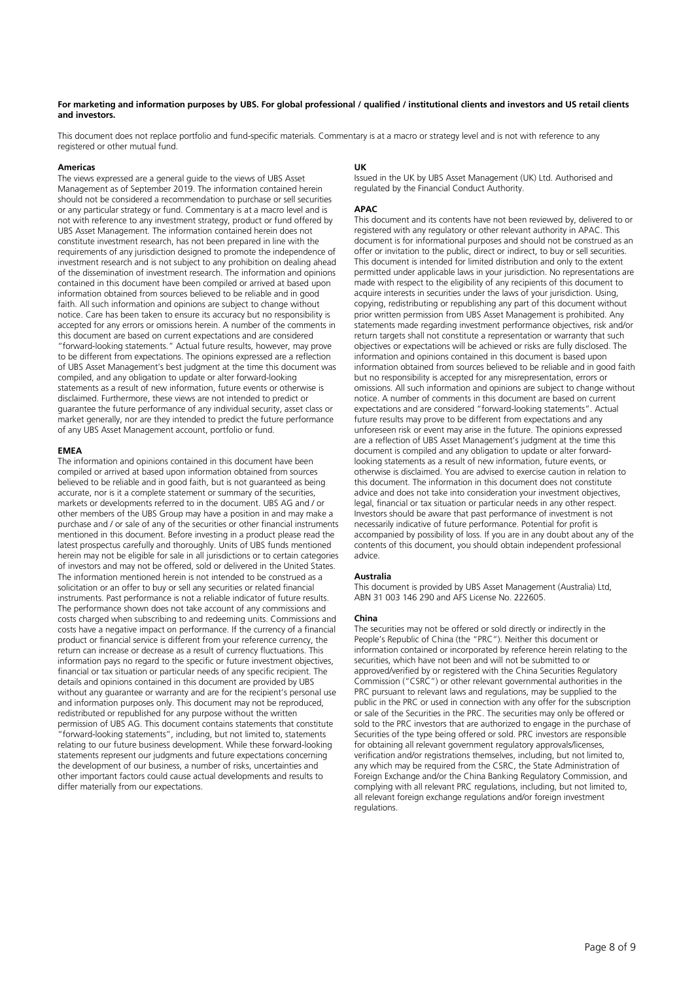#### **For marketing and information purposes by UBS. For global professional / qualified / institutional clients and investors and US retail clients and investors.**

This document does not replace portfolio and fund-specific materials. Commentary is at a macro or strategy level and is not with reference to any registered or other mutual fund.

#### **Americas**

The views expressed are a general guide to the views of UBS Asset Management as of September 2019. The information contained herein should not be considered a recommendation to purchase or sell securities or any particular strategy or fund. Commentary is at a macro level and is not with reference to any investment strategy, product or fund offered by UBS Asset Management. The information contained herein does not constitute investment research, has not been prepared in line with the requirements of any jurisdiction designed to promote the independence of investment research and is not subject to any prohibition on dealing ahead of the dissemination of investment research. The information and opinions contained in this document have been compiled or arrived at based upon information obtained from sources believed to be reliable and in good faith. All such information and opinions are subject to change without notice. Care has been taken to ensure its accuracy but no responsibility is accepted for any errors or omissions herein. A number of the comments in this document are based on current expectations and are considered "forward-looking statements." Actual future results, however, may prove to be different from expectations. The opinions expressed are a reflection of UBS Asset Management's best judgment at the time this document was compiled, and any obligation to update or alter forward-looking statements as a result of new information, future events or otherwise is disclaimed. Furthermore, these views are not intended to predict or guarantee the future performance of any individual security, asset class or market generally, nor are they intended to predict the future performance of any UBS Asset Management account, portfolio or fund.

#### **EMEA**

The information and opinions contained in this document have been compiled or arrived at based upon information obtained from sources believed to be reliable and in good faith, but is not guaranteed as being accurate, nor is it a complete statement or summary of the securities, markets or developments referred to in the document. UBS AG and / or other members of the UBS Group may have a position in and may make a purchase and / or sale of any of the securities or other financial instruments mentioned in this document. Before investing in a product please read the latest prospectus carefully and thoroughly. Units of UBS funds mentioned herein may not be eligible for sale in all jurisdictions or to certain categories of investors and may not be offered, sold or delivered in the United States. The information mentioned herein is not intended to be construed as a solicitation or an offer to buy or sell any securities or related financial instruments. Past performance is not a reliable indicator of future results. The performance shown does not take account of any commissions and costs charged when subscribing to and redeeming units. Commissions and costs have a negative impact on performance. If the currency of a financial product or financial service is different from your reference currency, the return can increase or decrease as a result of currency fluctuations. This information pays no regard to the specific or future investment objectives, financial or tax situation or particular needs of any specific recipient. The details and opinions contained in this document are provided by UBS without any guarantee or warranty and are for the recipient's personal use and information purposes only. This document may not be reproduced, redistributed or republished for any purpose without the written permission of UBS AG. This document contains statements that constitute "forward-looking statements", including, but not limited to, statements relating to our future business development. While these forward-looking statements represent our judgments and future expectations concerning the development of our business, a number of risks, uncertainties and other important factors could cause actual developments and results to differ materially from our expectations.

#### **UK**

Issued in the UK by UBS Asset Management (UK) Ltd. Authorised and regulated by the Financial Conduct Authority.

#### **APAC**

This document and its contents have not been reviewed by, delivered to or registered with any regulatory or other relevant authority in APAC. This document is for informational purposes and should not be construed as an offer or invitation to the public, direct or indirect, to buy or sell securities. This document is intended for limited distribution and only to the extent permitted under applicable laws in your jurisdiction. No representations are made with respect to the eligibility of any recipients of this document to acquire interests in securities under the laws of your jurisdiction. Using, copying, redistributing or republishing any part of this document without prior written permission from UBS Asset Management is prohibited. Any statements made regarding investment performance objectives, risk and/or return targets shall not constitute a representation or warranty that such objectives or expectations will be achieved or risks are fully disclosed. The information and opinions contained in this document is based upon information obtained from sources believed to be reliable and in good faith but no responsibility is accepted for any misrepresentation, errors or omissions. All such information and opinions are subject to change without notice. A number of comments in this document are based on current expectations and are considered "forward-looking statements". Actual future results may prove to be different from expectations and any unforeseen risk or event may arise in the future. The opinions expressed are a reflection of UBS Asset Management's judgment at the time this document is compiled and any obligation to update or alter forwardlooking statements as a result of new information, future events, or otherwise is disclaimed. You are advised to exercise caution in relation to this document. The information in this document does not constitute advice and does not take into consideration your investment objectives, legal, financial or tax situation or particular needs in any other respect. Investors should be aware that past performance of investment is not necessarily indicative of future performance. Potential for profit is accompanied by possibility of loss. If you are in any doubt about any of the contents of this document, you should obtain independent professional advice.

#### **Australia**

This document is provided by UBS Asset Management (Australia) Ltd, ABN 31 003 146 290 and AFS License No. 222605.

#### **China**

The securities may not be offered or sold directly or indirectly in the People's Republic of China (the "PRC"). Neither this document or information contained or incorporated by reference herein relating to the securities, which have not been and will not be submitted to or approved/verified by or registered with the China Securities Regulatory Commission ("CSRC") or other relevant governmental authorities in the PRC pursuant to relevant laws and regulations, may be supplied to the public in the PRC or used in connection with any offer for the subscription or sale of the Securities in the PRC. The securities may only be offered or sold to the PRC investors that are authorized to engage in the purchase of Securities of the type being offered or sold. PRC investors are responsible for obtaining all relevant government regulatory approvals/licenses, verification and/or registrations themselves, including, but not limited to, any which may be required from the CSRC, the State Administration of Foreign Exchange and/or the China Banking Regulatory Commission, and complying with all relevant PRC regulations, including, but not limited to, all relevant foreign exchange regulations and/or foreign investment regulations.